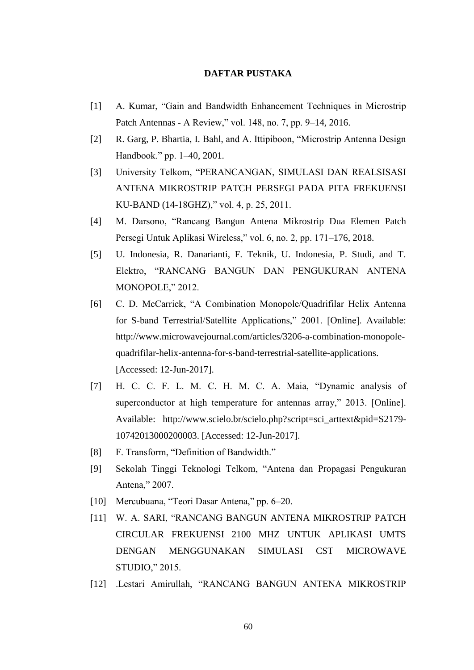## **DAFTAR PUSTAKA**

- [1] A. Kumar, "Gain and Bandwidth Enhancement Techniques in Microstrip Patch Antennas - A Review," vol. 148, no. 7, pp. 9–14, 2016.
- [2] R. Garg, P. Bhartia, I. Bahl, and A. Ittipiboon, "Microstrip Antenna Design Handbook." pp. 1–40, 2001.
- [3] University Telkom, "PERANCANGAN, SIMULASI DAN REALSISASI ANTENA MIKROSTRIP PATCH PERSEGI PADA PITA FREKUENSI KU-BAND (14-18GHZ)," vol. 4, p. 25, 2011.
- [4] M. Darsono, "Rancang Bangun Antena Mikrostrip Dua Elemen Patch Persegi Untuk Aplikasi Wireless," vol. 6, no. 2, pp. 171–176, 2018.
- [5] U. Indonesia, R. Danarianti, F. Teknik, U. Indonesia, P. Studi, and T. Elektro, "RANCANG BANGUN DAN PENGUKURAN ANTENA MONOPOLE," 2012.
- [6] C. D. McCarrick, "A Combination Monopole/Quadrifilar Helix Antenna for S-band Terrestrial/Satellite Applications," 2001. [Online]. Available: http://www.microwavejournal.com/articles/3206-a-combination-monopolequadrifilar-helix-antenna-for-s-band-terrestrial-satellite-applications. [Accessed: 12-Jun-2017].
- [7] H. C. C. F. L. M. C. H. M. C. A. Maia, "Dynamic analysis of superconductor at high temperature for antennas array," 2013. [Online]. Available: http://www.scielo.br/scielo.php?script=sci\_arttext&pid=S2179- 10742013000200003. [Accessed: 12-Jun-2017].
- [8] F. Transform, "Definition of Bandwidth."
- [9] Sekolah Tinggi Teknologi Telkom, "Antena dan Propagasi Pengukuran Antena," 2007.
- [10] Mercubuana, "Teori Dasar Antena," pp. 6–20.
- [11] W. A. SARI, "RANCANG BANGUN ANTENA MIKROSTRIP PATCH CIRCULAR FREKUENSI 2100 MHZ UNTUK APLIKASI UMTS DENGAN MENGGUNAKAN SIMULASI CST MICROWAVE STUDIO," 2015.
- [12] .Lestari Amirullah, "RANCANG BANGUN ANTENA MIKROSTRIP